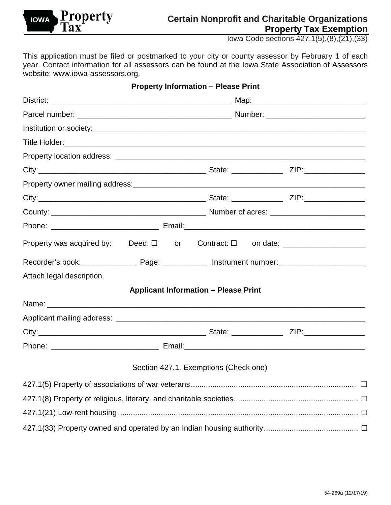

# **Certain Nonprofit and Charitable Organizations Property Tax Exemption**

Iowa Code sections 427.1(5),(8),(21),(33)

This application must be filed or postmarked to your city or county assessor by February 1 of each year. Contact information for all assessors can be found at the Iowa State Association of Assessors website: [www.iowa-assessors.org.](http://www.iowa-assessors.org/)

|                                                                                              |  | <b>Property Information - Please Print</b>  |  |  |  |
|----------------------------------------------------------------------------------------------|--|---------------------------------------------|--|--|--|
|                                                                                              |  |                                             |  |  |  |
|                                                                                              |  |                                             |  |  |  |
|                                                                                              |  |                                             |  |  |  |
|                                                                                              |  |                                             |  |  |  |
|                                                                                              |  |                                             |  |  |  |
|                                                                                              |  |                                             |  |  |  |
|                                                                                              |  |                                             |  |  |  |
|                                                                                              |  |                                             |  |  |  |
|                                                                                              |  |                                             |  |  |  |
|                                                                                              |  |                                             |  |  |  |
| Property was acquired by: Deed: $\square$ or Contract: $\square$ on date: __________________ |  |                                             |  |  |  |
|                                                                                              |  |                                             |  |  |  |
| Attach legal description.                                                                    |  |                                             |  |  |  |
|                                                                                              |  | <b>Applicant Information - Please Print</b> |  |  |  |
|                                                                                              |  |                                             |  |  |  |
|                                                                                              |  |                                             |  |  |  |
|                                                                                              |  |                                             |  |  |  |
|                                                                                              |  |                                             |  |  |  |
|                                                                                              |  | Section 427.1. Exemptions (Check one)       |  |  |  |
|                                                                                              |  |                                             |  |  |  |
|                                                                                              |  |                                             |  |  |  |
|                                                                                              |  |                                             |  |  |  |
|                                                                                              |  |                                             |  |  |  |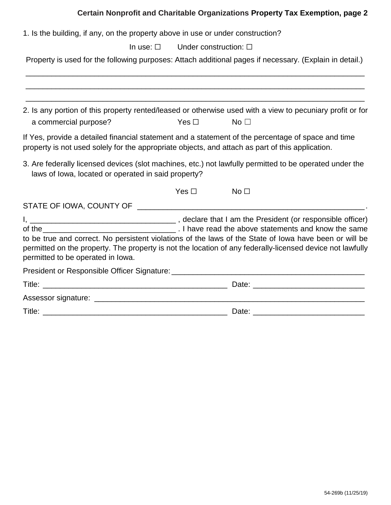### **Certain Nonprofit and Charitable Organizations Property Tax Exemption, page 2**

1. Is the building, if any, on the property above in use or under construction?

In use: □ Under construction: □

Property is used for the following purposes: Attach additional pages if necessary. (Explain in detail.)

| a commercial purpose?                                                                            | Yes $\square$ | 2. Is any portion of this property rented/leased or otherwise used with a view to pecuniary profit or for<br>No $\square$                                                                                           |
|--------------------------------------------------------------------------------------------------|---------------|---------------------------------------------------------------------------------------------------------------------------------------------------------------------------------------------------------------------|
| property is not used solely for the appropriate objects, and attach as part of this application. |               | If Yes, provide a detailed financial statement and a statement of the percentage of space and time                                                                                                                  |
| laws of lowa, located or operated in said property?                                              |               | 3. Are federally licensed devices (slot machines, etc.) not lawfully permitted to be operated under the                                                                                                             |
|                                                                                                  | Yes $\square$ | No $\Box$                                                                                                                                                                                                           |
|                                                                                                  |               |                                                                                                                                                                                                                     |
| permitted to be operated in lowa.                                                                |               | to be true and correct. No persistent violations of the laws of the State of lowa have been or will be<br>permitted on the property. The property is not the location of any federally-licensed device not lawfully |
|                                                                                                  |               |                                                                                                                                                                                                                     |
|                                                                                                  |               |                                                                                                                                                                                                                     |
|                                                                                                  |               |                                                                                                                                                                                                                     |
|                                                                                                  |               |                                                                                                                                                                                                                     |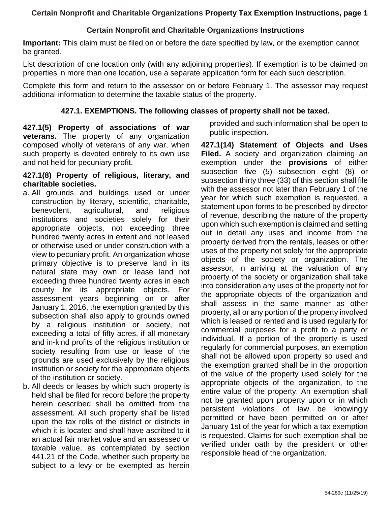## **Certain Nonprofit and Charitable Organizations Instructions**

**Important:** This claim must be filed on or before the date specified by law, or the exemption cannot be granted.

List description of one location only (with any adjoining properties). If exemption is to be claimed on properties in more than one location, use a separate application form for each such description.

Complete this form and return to the assessor on or before February 1. The assessor may request additional information to determine the taxable status of the property.

#### **427.1. EXEMPTIONS. The following classes of property shall not be taxed.**

**427.1(5) Property of associations of war veterans.** The property of any organization composed wholly of veterans of any war, when such property is devoted entirely to its own use and not held for pecuniary profit.

#### **427.1(8) Property of religious, literary, and charitable societies.**

- a. All grounds and buildings used or under construction by literary, scientific, charitable, benevolent, agricultural, and religious institutions and societies solely for their appropriate objects, not exceeding three hundred twenty acres in extent and not leased or otherwise used or under construction with a view to pecuniary profit. An organization whose primary objective is to preserve land in its natural state may own or lease land not exceeding three hundred twenty acres in each county for its appropriate objects. For assessment years beginning on or after January 1, 2016, the exemption granted by this subsection shall also apply to grounds owned by a religious institution or society, not exceeding a total of fifty acres, if all monetary and in-kind profits of the religious institution or society resulting from use or lease of the grounds are used exclusively by the religious institution or society for the appropriate objects of the institution or society.
- b. All deeds or leases by which such property is held shall be filed for record before the property herein described shall be omitted from the assessment. All such property shall be listed upon the tax rolls of the district or districts in which it is located and shall have ascribed to it an actual fair market value and an assessed or taxable value, as contemplated by section 441.21 of the Code, whether such property be subject to a levy or be exempted as herein

provided and such information shall be open to public inspection.

**427.1(14) Statement of Objects and Uses Filed.** A society and organization claiming an exemption under the **provisions** of either subsection five (5) subsection eight (8) or subsection thirty three (33) of this section shall file with the assessor not later than February 1 of the year for which such exemption is requested, a statement upon forms to be prescribed by director of revenue, describing the nature of the property upon which such exemption is claimed and setting out in detail any uses and income from the property derived from the rentals, leases or other uses of the property not solely for the appropriate objects of the society or organization. The assessor, in arriving at the valuation of any property of the society or organization shall take into consideration any uses of the property not for the appropriate objects of the organization and shall assess in the same manner as other property, all or any portion of the property involved which is leased or rented and is used regularly for commercial purposes for a profit to a party or individual. If a portion of the property is used regularly for commercial purposes, an exemption shall not be allowed upon property so used and the exemption granted shall be in the proportion of the value of the property used solely for the appropriate objects of the organization, to the entire value of the property. An exemption shall not be granted upon property upon or in which persistent violations of law be knowingly permitted or have been permitted on or after January 1st of the year for which a tax exemption is requested. Claims for such exemption shall be verified under oath by the president or other responsible head of the organization.